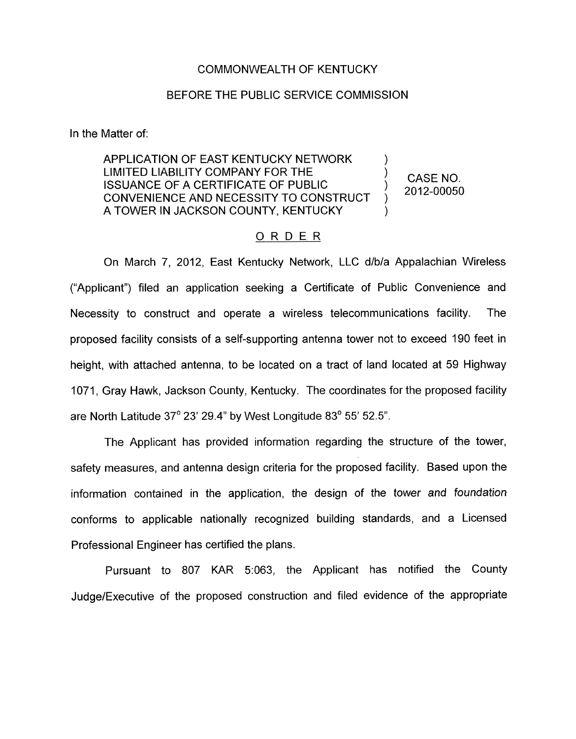## COMMONWEALTH OF KENTUCKY

## BEFORE THE PUBLIC SERVICE COMMISSION

In the Matter of:

APPLICATION OF EAST KENTUCKY NETWORK )<br>) LIMITED LIABILITY COMPANY FOR THE ISSUANCE OF A CERTIFICATE OF PUBLIC CONVENIENCE AND NECESSITY TO CONSTRUCT A TOWER IN JACKSON COUNTY, KENTUCKY

 $\left\{\n \begin{array}{cc}\n \text{CASE NO.} \\
\text{2043 20250}\n \end{array}\n\right.$ ) 2012-00050

## ORDER

On March 7, 2012, East Kentucky Network, LLC d/b/a Appalachian Wireless ("Applicant") filed an application seeking a Certificate of Public Convenience and Necessity to construct and operate a wireless telecommunications facility. The proposed facility consists of a self-supporting antenna tower not to exceed 190 feet in height, with attached antenna, to be located on a tract of land located at 59 Highway 1071, Gray Hawk, Jackson County, Kentucky. The coordinates for the proposed facility are North Latitude 37' 23' 29.4" by West Longitude 83" **55'** 52.5".

The Applicant has provided information regarding the structure of the tower, safety measures, and antenna design criteria for the proposed facility. Based upon the information contained in the application, the design of the tower *and foundation*  conforms to applicable nationally recognized building standards, and a Licensed Professional Engineer has certified the plans.

Pursuant to 807 KAR 5:063, the Applicant has notified the County Judge/Executive of the proposed construction and filed evidence of the appropriate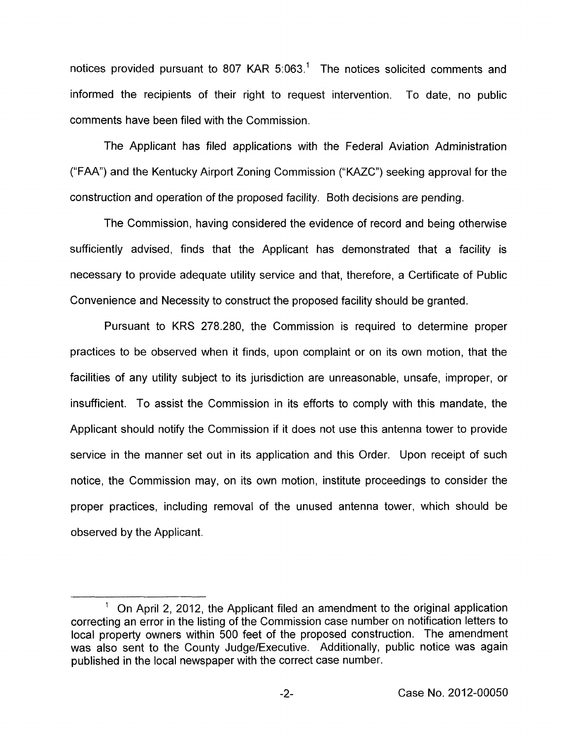notices provided pursuant to 807 KAR 5:063.<sup>1</sup> The notices solicited comments and informed the recipients of their right to request intervention. To date, no public comments have been filed with the Commission.

The Applicant has filed applications with the Federal Aviation Administration ("FAA") and the Kentucky Airport Zoning Commission ("KAZC") seeking approval for the construction and operation of the proposed facility. Both decisions are pending.

The Commission, having considered the evidence of record and being otherwise sufficiently advised, finds that the Applicant has demonstrated that a facility is necessary to provide adequate utility service and that, therefore, a Certificate of Public Convenience and Necessity to construct the proposed facility should be granted.

Pursuant to KRS 278.280, the Commission is required to determine proper practices to be observed when it finds, upon complaint or on its own motion, that the facilities of any utility subject to its jurisdiction are unreasonable, unsafe, improper, or insufficient. To assist the Commission in its efforts to comply with this mandate, the Applicant should notify the Commission if it does not use this antenna tower to provide service in the manner set out in its application and this Order. Upon receipt of such notice, the Commission may, on its own motion, institute proceedings to consider the proper practices, including removal of the unused antenna tower, which should be observed by the Applicant.

 $<sup>1</sup>$  On April 2, 2012, the Applicant filed an amendment to the original application</sup> correcting an error in the listing of the Commission case number on notification letters to local property owners within 500 feet of the proposed construction. The amendment was also sent to the County Judge/Executive. Additionally, public notice was again published in the local newspaper with the correct case number.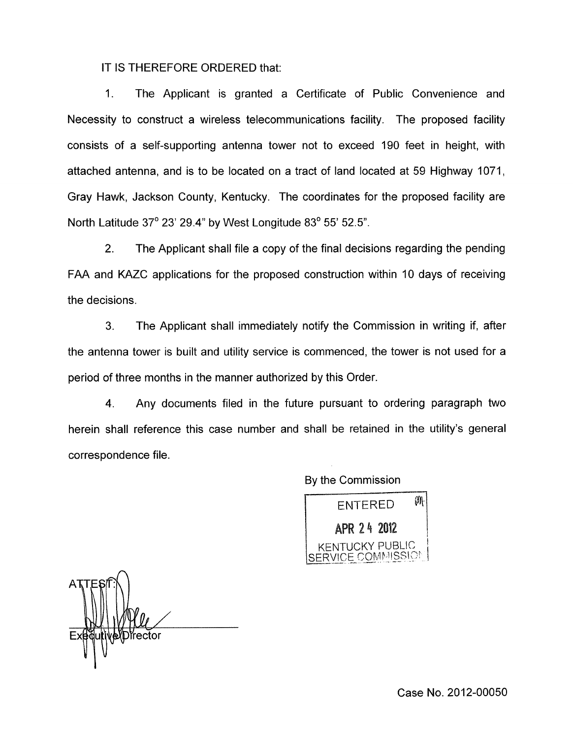IT IS THEREFORE ORDERED that:

1. The Applicant is granted a Certificate of Public Convenience and Necessity to construct a wireless telecommunications facility. The proposed facility consists of a self-supporting antenna tower not to exceed 190 feet in height, with attached antenna, and is to be located on a tract of land located at 59 Highway 1071, Gray Hawk, Jackson County, Kentucky. The coordinates for the proposed facility are North Latitude 37° 23' 29.4" by West Longitude 83° 55' 52.5".

2. The Applicant shall file a copy of the final decisions regarding the pending FAA and KAZC applications for the proposed construction within 10 days of receiving the decisions.

3. The Applicant shall immediately notify the Commission in writing if, after the antenna tower is built and utility service is commenced, the tower is not used for a period of three months in the manner authorized by this Order.

4. Any documents filed in the future pursuant to ordering paragraph two herein shall reference this case number and shall be retained in the utility's general correspondence file.

By the Commission

 $\emptyset$ **ENTERED** APR 24 2012 KENTUCKY PUBLIC VICE COMMISSION

์ĭrector